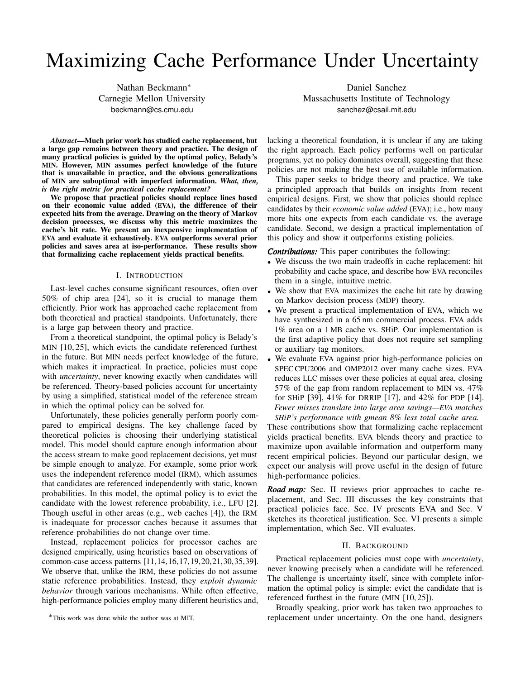# Maximizing Cache Performance Under Uncertainty

*Abstract*—Much prior work has studied cache replacement, but a large gap remains between theory and practice. The design of many practical policies is guided by the optimal policy, Belady's MIN. However, MIN assumes perfect knowledge of the future that is unavailable in practice, and the obvious generalizations of MIN are suboptimal with imperfect information. *What, then, is the right metric for practical cache replacement?*

We propose that practical policies should replace lines based on their economic value added (EVA), the difference of their expected hits from the average. Drawing on the theory of Markov decision processes, we discuss why this metric maximizes the cache's hit rate. We present an inexpensive implementation of EVA and evaluate it exhaustively. EVA outperforms several prior policies and saves area at iso-performance. These results show that formalizing cache replacement yields practical benefits.

#### I. INTRODUCTION

Last-level caches consume significant resources, often over 50% of chip area [\[24\]](#page-11-0), so it is crucial to manage them efficiently. Prior work has approached cache replacement from both theoretical and practical standpoints. Unfortunately, there is a large gap between theory and practice.

From a theoretical standpoint, the optimal policy is Belady's MIN [\[10,](#page-11-1) [25\]](#page-11-2), which evicts the candidate referenced furthest in the future. But MIN needs perfect knowledge of the future, which makes it impractical. In practice, policies must cope with *uncertainty*, never knowing exactly when candidates will be referenced. Theory-based policies account for uncertainty by using a simplified, statistical model of the reference stream in which the optimal policy can be solved for.

Unfortunately, these policies generally perform poorly compared to empirical designs. The key challenge faced by theoretical policies is choosing their underlying statistical model. This model should capture enough information about the access stream to make good replacement decisions, yet must be simple enough to analyze. For example, some prior work uses the independent reference model (IRM), which assumes that candidates are referenced independently with static, known probabilities. In this model, the optimal policy is to evict the candidate with the lowest reference probability, i.e., LFU [\[2\]](#page-11-3). Though useful in other areas (e.g., web caches [\[4\]](#page-11-4)), the IRM is inadequate for processor caches because it assumes that reference probabilities do not change over time.

Instead, replacement policies for processor caches are designed empirically, using heuristics based on observations of common-case access patterns [\[11,](#page-11-5)[14,](#page-11-6)[16,](#page-11-7)[17,](#page-11-8)[19,](#page-11-9)[20,](#page-11-10)[21,](#page-11-11)[30](#page-11-12)[,35,](#page-11-13)[39\]](#page-11-14). We observe that, unlike the IRM, these policies do not assume static reference probabilities. Instead, they *exploit dynamic behavior* through various mechanisms. While often effective, high-performance policies employ many different heuristics and,

∗This work was done while the author was at MIT.

Nathan Beckmann<sup>∗</sup> Daniel Sanchez Carnegie Mellon University Massachusetts Institute of Technology beckmann@cs.cmu.edu sanchez@csail.mit.edu

> lacking a theoretical foundation, it is unclear if any are taking the right approach. Each policy performs well on particular programs, yet no policy dominates overall, suggesting that these policies are not making the best use of available information.

> This paper seeks to bridge theory and practice. We take a principled approach that builds on insights from recent empirical designs. First, we show that policies should replace candidates by their *economic value added* (EVA); i.e., how many more hits one expects from each candidate vs. the average candidate. Second, we design a practical implementation of this policy and show it outperforms existing policies.

*Contributions:* This paper contributes the following:

- We discuss the two main tradeoffs in cache replacement: hit probability and cache space, and describe how EVA reconciles them in a single, intuitive metric.
- We show that EVA maximizes the cache hit rate by drawing on Markov decision process (MDP) theory.
- We present a practical implementation of EVA, which we have synthesized in a 65 nm commercial process. EVA adds 1% area on a 1 MB cache vs. SHiP. Our implementation is the first adaptive policy that does not require set sampling or auxiliary tag monitors.
- We evaluate EVA against prior high-performance policies on SPEC CPU2006 and OMP2012 over many cache sizes. EVA reduces LLC misses over these policies at equal area, closing 57% of the gap from random replacement to MIN vs. 47% for SHiP [\[39\]](#page-11-14), 41% for DRRIP [\[17\]](#page-11-8), and 42% for PDP [\[14\]](#page-11-6). *Fewer misses translate into large area savings—EVA matches SHiP's performance with gmean 8% less total cache area.*

These contributions show that formalizing cache replacement yields practical benefits. EVA blends theory and practice to maximize upon available information and outperform many recent empirical policies. Beyond our particular design, we expect our analysis will prove useful in the design of future high-performance policies.

*Road map:* [Sec. II](#page-0-0) reviews prior approaches to cache replacement, and [Sec. III](#page-1-0) discusses the key constraints that practical policies face. [Sec. IV](#page-2-0) presents EVA and [Sec. V](#page-5-0) sketches its theoretical justification. [Sec. VI](#page-7-0) presents a simple implementation, which [Sec. VII](#page-8-0) evaluates.

## II. BACKGROUND

<span id="page-0-0"></span>Practical replacement policies must cope with *uncertainty*, never knowing precisely when a candidate will be referenced. The challenge is uncertainty itself, since with complete information the optimal policy is simple: evict the candidate that is referenced furthest in the future (MIN [\[10,](#page-11-1) [25\]](#page-11-2)).

Broadly speaking, prior work has taken two approaches to replacement under uncertainty. On the one hand, designers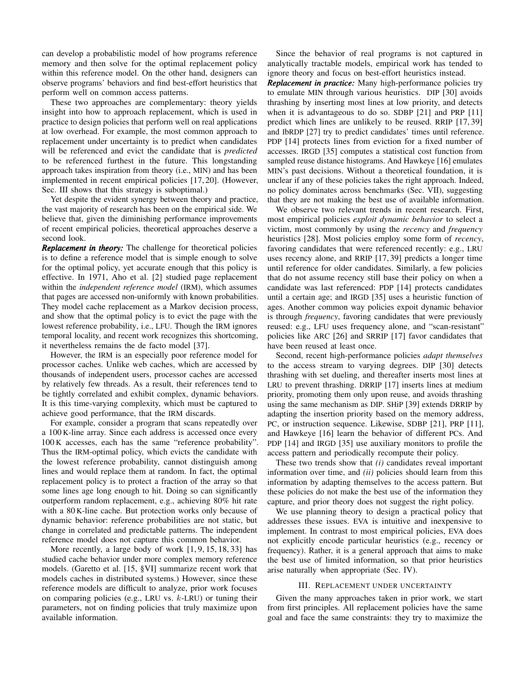can develop a probabilistic model of how programs reference memory and then solve for the optimal replacement policy within this reference model. On the other hand, designers can observe programs' behaviors and find best-effort heuristics that perform well on common access patterns.

These two approaches are complementary: theory yields insight into how to approach replacement, which is used in practice to design policies that perform well on real applications at low overhead. For example, the most common approach to replacement under uncertainty is to predict when candidates will be referenced and evict the candidate that is *predicted* to be referenced furthest in the future. This longstanding approach takes inspiration from theory (i.e., MIN) and has been implemented in recent empirical policies [\[17,](#page-11-8) [20\]](#page-11-10). (However, [Sec. III](#page-1-0) shows that this strategy is suboptimal.)

Yet despite the evident synergy between theory and practice, the vast majority of research has been on the empirical side. We believe that, given the diminishing performance improvements of recent empirical policies, theoretical approaches deserve a second look.

*Replacement in theory:* The challenge for theoretical policies is to define a reference model that is simple enough to solve for the optimal policy, yet accurate enough that this policy is effective. In 1971, Aho et al. [\[2\]](#page-11-3) studied page replacement within the *independent reference model* (IRM), which assumes that pages are accessed non-uniformly with known probabilities. They model cache replacement as a Markov decision process, and show that the optimal policy is to evict the page with the lowest reference probability, i.e., LFU. Though the IRM ignores temporal locality, and recent work recognizes this shortcoming, it nevertheless remains the de facto model [\[37\]](#page-11-15).

However, the IRM is an especially poor reference model for processor caches. Unlike web caches, which are accessed by thousands of independent users, processor caches are accessed by relatively few threads. As a result, their references tend to be tightly correlated and exhibit complex, dynamic behaviors. It is this time-varying complexity, which must be captured to achieve good performance, that the IRM discards.

For example, consider a program that scans repeatedly over a 100 K-line array. Since each address is accessed once every 100 K accesses, each has the same "reference probability". Thus the IRM-optimal policy, which evicts the candidate with the lowest reference probability, cannot distinguish among lines and would replace them at random. In fact, the optimal replacement policy is to protect a fraction of the array so that some lines age long enough to hit. Doing so can significantly outperform random replacement, e.g., achieving 80% hit rate with a 80 K-line cache. But protection works only because of dynamic behavior: reference probabilities are not static, but change in correlated and predictable patterns. The independent reference model does not capture this common behavior.

More recently, a large body of work [\[1,](#page-11-16) [9,](#page-11-17) [15,](#page-11-18) [18,](#page-11-19) [33\]](#page-11-20) has studied cache behavior under more complex memory reference models. (Garetto et al. [\[15,](#page-11-18) §VI] summarize recent work that models caches in distributed systems.) However, since these reference models are difficult to analyze, prior work focuses on comparing policies (e.g., LRU vs.  $k$ -LRU) or tuning their parameters, not on finding policies that truly maximize upon available information.

Since the behavior of real programs is not captured in analytically tractable models, empirical work has tended to ignore theory and focus on best-effort heuristics instead.

*Replacement in practice:* Many high-performance policies try to emulate MIN through various heuristics. DIP [\[30\]](#page-11-12) avoids thrashing by inserting most lines at low priority, and detects when it is advantageous to do so. SDBP [\[21\]](#page-11-11) and PRP [\[11\]](#page-11-5) predict which lines are unlikely to be reused. RRIP [\[17,](#page-11-8) [39\]](#page-11-14) and IbRDP [\[27\]](#page-11-21) try to predict candidates' times until reference. PDP [\[14\]](#page-11-6) protects lines from eviction for a fixed number of accesses. IRGD [\[35\]](#page-11-13) computes a statistical cost function from sampled reuse distance histograms. And Hawkeye [\[16\]](#page-11-7) emulates MIN's past decisions. Without a theoretical foundation, it is unclear if any of these policies takes the right approach. Indeed, no policy dominates across benchmarks [\(Sec. VII\)](#page-8-0), suggesting that they are not making the best use of available information.

We observe two relevant trends in recent research. First, most empirical policies *exploit dynamic behavior* to select a victim, most commonly by using the *recency* and *frequency* heuristics [\[28\]](#page-11-22). Most policies employ some form of *recency*, favoring candidates that were referenced recently: e.g., LRU uses recency alone, and RRIP [\[17,](#page-11-8) [39\]](#page-11-14) predicts a longer time until reference for older candidates. Similarly, a few policies that do not assume recency still base their policy on when a candidate was last referenced: PDP [\[14\]](#page-11-6) protects candidates until a certain age; and IRGD [\[35\]](#page-11-13) uses a heuristic function of ages. Another common way policies expoit dynamic behavior is through *frequency*, favoring candidates that were previously reused: e.g., LFU uses frequency alone, and "scan-resistant" policies like ARC [\[26\]](#page-11-23) and SRRIP [\[17\]](#page-11-8) favor candidates that have been reused at least once.

Second, recent high-performance policies *adapt themselves* to the access stream to varying degrees. DIP [\[30\]](#page-11-12) detects thrashing with set dueling, and thereafter inserts most lines at LRU to prevent thrashing. DRRIP [\[17\]](#page-11-8) inserts lines at medium priority, promoting them only upon reuse, and avoids thrashing using the same mechanism as DIP. SHiP [\[39\]](#page-11-14) extends DRRIP by adapting the insertion priority based on the memory address, PC, or instruction sequence. Likewise, SDBP [\[21\]](#page-11-11), PRP [\[11\]](#page-11-5), and Hawkeye [\[16\]](#page-11-7) learn the behavior of different PCs. And PDP [\[14\]](#page-11-6) and IRGD [\[35\]](#page-11-13) use auxiliary monitors to profile the access pattern and periodically recompute their policy.

These two trends show that *(i)* candidates reveal important information over time, and *(ii)* policies should learn from this information by adapting themselves to the access pattern. But these policies do not make the best use of the information they capture, and prior theory does not suggest the right policy.

We use planning theory to design a practical policy that addresses these issues. EVA is intuitive and inexpensive to implement. In contrast to most empirical policies, EVA does not explicitly encode particular heuristics (e.g., recency or frequency). Rather, it is a general approach that aims to make the best use of limited information, so that prior heuristics arise naturally when appropriate [\(Sec. IV\)](#page-2-0).

#### III. REPLACEMENT UNDER UNCERTAINTY

<span id="page-1-0"></span>Given the many approaches taken in prior work, we start from first principles. All replacement policies have the same goal and face the same constraints: they try to maximize the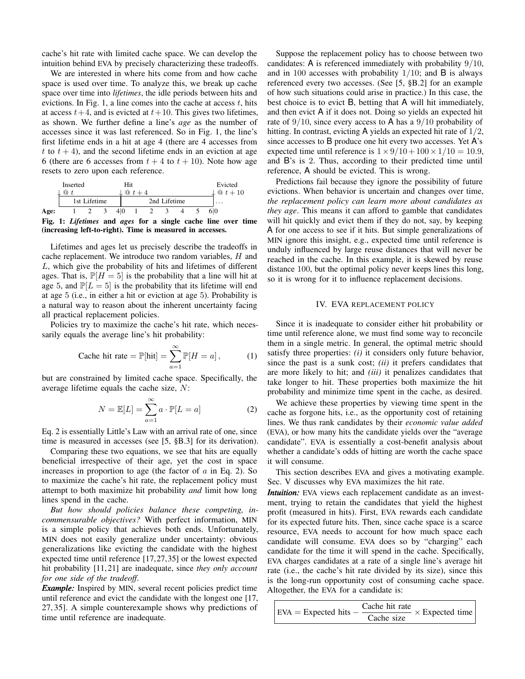cache's hit rate with limited cache space. We can develop the intuition behind EVA by precisely characterizing these tradeoffs.

We are interested in where hits come from and how cache space is used over time. To analyze this, we break up cache space over time into *lifetimes*, the idle periods between hits and evictions. In [Fig. 1,](#page-2-1) a line comes into the cache at access  $t$ , hits at access  $t+4$ , and is evicted at  $t+10$ . This gives two lifetimes, as shown. We further define a line's *age* as the number of accesses since it was last referenced. So in [Fig. 1,](#page-2-1) the line's first lifetime ends in a hit at age 4 (there are 4 accesses from t to  $t + 4$ ), and the second lifetime ends in an eviction at age 6 (there are 6 accesses from  $t + 4$  to  $t + 10$ ). Note how age resets to zero upon each reference.

<span id="page-2-1"></span>

|             | Inserted      |              |   |  |              |  | Evicted                   |
|-------------|---------------|--------------|---|--|--------------|--|---------------------------|
|             | $^\copyright$ |              | ℚ |  |              |  | $\perp \mathbb{Q} t + 10$ |
|             |               | 1st Lifetime |   |  | 2nd Lifetime |  | $\cdot$                   |
| <b>Age:</b> |               |              |   |  |              |  |                           |

Fig. 1: *Lifetimes* and *ages* for a single cache line over time (increasing left-to-right). Time is measured in accesses.

Lifetimes and ages let us precisely describe the tradeoffs in cache replacement. We introduce two random variables, H and L, which give the probability of hits and lifetimes of different ages. That is,  $\mathbb{P}[H = 5]$  is the probability that a line will hit at age 5, and  $\mathbb{P}[L = 5]$  is the probability that its lifetime will end at age 5 (i.e., in either a hit or eviction at age 5). Probability is a natural way to reason about the inherent uncertainty facing all practical replacement policies.

Policies try to maximize the cache's hit rate, which necessarily equals the average line's hit probability:

Cache hit rate = 
$$
\mathbb{P}[\text{hit}] = \sum_{a=1}^{\infty} \mathbb{P}[H = a],
$$
 (1)

but are constrained by limited cache space. Specifically, the average lifetime equals the cache size, N:

<span id="page-2-2"></span>
$$
N = \mathbb{E}[L] = \sum_{a=1}^{\infty} a \cdot \mathbb{P}[L = a]
$$
 (2)

[Eq. 2](#page-2-2) is essentially Little's Law with an arrival rate of one, since time is measured in accesses (see [\[5,](#page-11-24) §B.3] for its derivation).

Comparing these two equations, we see that hits are equally beneficial irrespective of their age, yet the cost in space increases in proportion to age (the factor of  $a$  in [Eq. 2\)](#page-2-2). So to maximize the cache's hit rate, the replacement policy must attempt to both maximize hit probability *and* limit how long lines spend in the cache.

*But how should policies balance these competing, incommensurable objectives?* With perfect information, MIN is a simple policy that achieves both ends. Unfortunately, MIN does not easily generalize under uncertainty: obvious generalizations like evicting the candidate with the highest expected time until reference [\[17,](#page-11-8)[27,](#page-11-21)[35\]](#page-11-13) or the lowest expected hit probability [\[11,](#page-11-5) [21\]](#page-11-11) are inadequate, since *they only account for one side of the tradeoff*.

*Example:* Inspired by MIN, several recent policies predict time until reference and evict the candidate with the longest one [\[17,](#page-11-8) [27,](#page-11-21) [35\]](#page-11-13). A simple counterexample shows why predictions of time until reference are inadequate.

Suppose the replacement policy has to choose between two candidates: A is referenced immediately with probability 9/10, and in 100 accesses with probability  $1/10$ ; and B is always referenced every two accesses. (See [\[5,](#page-11-24) §B.2] for an example of how such situations could arise in practice.) In this case, the best choice is to evict B, betting that A will hit immediately, and then evict A if it does not. Doing so yields an expected hit rate of  $9/10$ , since every access to A has a  $9/10$  probability of hitting. In contrast, evicting A yields an expected hit rate of 1/2, since accesses to B produce one hit every two accesses. Yet A's expected time until reference is  $1 \times 9/10 + 100 \times 1/10 = 10.9$ , and B's is 2. Thus, according to their predicted time until reference, A should be evicted. This is wrong.

Predictions fail because they ignore the possibility of future evictions. When behavior is uncertain and changes over time, *the replacement policy can learn more about candidates as they age*. This means it can afford to gamble that candidates will hit quickly and evict them if they do not, say, by keeping A for one access to see if it hits. But simple generalizations of MIN ignore this insight, e.g., expected time until reference is unduly influenced by large reuse distances that will never be reached in the cache. In this example, it is skewed by reuse distance 100, but the optimal policy never keeps lines this long, so it is wrong for it to influence replacement decisions.

#### IV. EVA REPLACEMENT POLICY

<span id="page-2-0"></span>Since it is inadequate to consider either hit probability or time until reference alone, we must find some way to reconcile them in a single metric. In general, the optimal metric should satisfy three properties: *(i)* it considers only future behavior, since the past is a sunk cost; *(ii)* it prefers candidates that are more likely to hit; and *(iii)* it penalizes candidates that take longer to hit. These properties both maximize the hit probability and minimize time spent in the cache, as desired.

We achieve these properties by viewing time spent in the cache as forgone hits, i.e., as the opportunity cost of retaining lines. We thus rank candidates by their *economic value added* (EVA), or how many hits the candidate yields over the "average candidate". EVA is essentially a cost-benefit analysis about whether a candidate's odds of hitting are worth the cache space it will consume.

This section describes EVA and gives a motivating example. [Sec. V](#page-5-0) discusses why EVA maximizes the hit rate.

*Intuition:* EVA views each replacement candidate as an investment, trying to retain the candidates that yield the highest profit (measured in hits). First, EVA rewards each candidate for its expected future hits. Then, since cache space is a scarce resource, EVA needs to account for how much space each candidate will consume. EVA does so by "charging" each candidate for the time it will spend in the cache. Specifically, EVA charges candidates at a rate of a single line's average hit rate (i.e., the cache's hit rate divided by its size), since this is the long-run opportunity cost of consuming cache space. Altogether, the EVA for a candidate is:

$$
EXA = Expected hits - \frac{Cache hit rate}{Cache size} \times Expected time
$$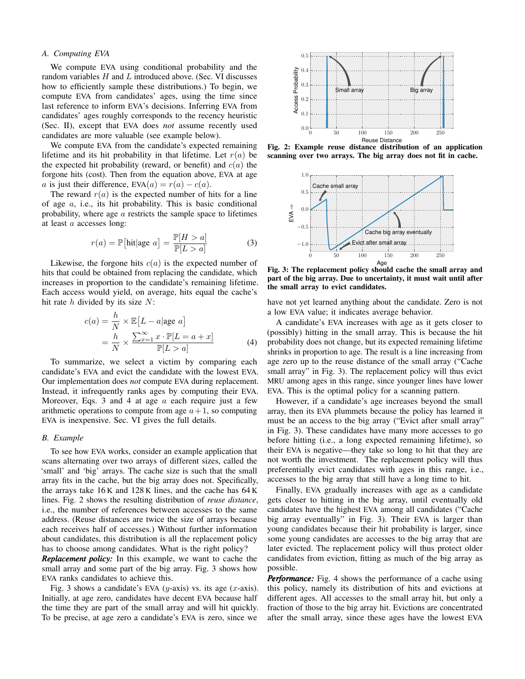## <span id="page-3-4"></span>*A. Computing EVA*

We compute EVA using conditional probability and the random variables  $H$  and  $L$  introduced above. [\(Sec. VI](#page-7-0) discusses how to efficiently sample these distributions.) To begin, we compute EVA from candidates' ages, using the time since last reference to inform EVA's decisions. Inferring EVA from candidates' ages roughly corresponds to the recency heuristic [\(Sec. II\)](#page-0-0), except that EVA does *not* assume recently used candidates are more valuable (see example below).

We compute EVA from the candidate's expected remaining lifetime and its hit probability in that lifetime. Let  $r(a)$  be the expected hit probability (reward, or benefit) and  $c(a)$  the forgone hits (cost). Then from the equation above, EVA at age a is just their difference,  $EVA(a) = r(a) - c(a)$ .

The reward  $r(a)$  is the expected number of hits for a line of age a, i.e., its hit probability. This is basic conditional probability, where age  $\alpha$  restricts the sample space to lifetimes at least a accesses long:

<span id="page-3-0"></span>
$$
r(a) = \mathbb{P}[\text{hit}|\text{age } a] = \frac{\mathbb{P}[H > a]}{\mathbb{P}[L > a]}
$$
 (3)

Likewise, the forgone hits  $c(a)$  is the expected number of hits that could be obtained from replacing the candidate, which increases in proportion to the candidate's remaining lifetime. Each access would yield, on average, hits equal the cache's hit rate  $h$  divided by its size  $N$ :

$$
c(a) = \frac{h}{N} \times \mathbb{E}[L - a | \text{age } a]
$$
  
=  $\frac{h}{N} \times \frac{\sum_{x=1}^{\infty} x \cdot \mathbb{P}[L = a + x]}{\mathbb{P}[L > a]}$  (4)

To summarize, we select a victim by comparing each candidate's EVA and evict the candidate with the lowest EVA. Our implementation does *not* compute EVA during replacement. Instead, it infrequently ranks ages by computing their EVA. Moreover, Eqs. [3](#page-3-0) and [4](#page-3-1) at age  $a$  each require just a few arithmetic operations to compute from age  $a+1$ , so computing EVA is inexpensive. [Sec. VI](#page-7-0) gives the full details.

#### <span id="page-3-5"></span>*B. Example*

To see how EVA works, consider an example application that scans alternating over two arrays of different sizes, called the 'small' and 'big' arrays. The cache size is such that the small array fits in the cache, but the big array does not. Specifically, the arrays take 16 K and 128 K lines, and the cache has 64 K lines. [Fig. 2](#page-3-2) shows the resulting distribution of *reuse distance*, i.e., the number of references between accesses to the same address. (Reuse distances are twice the size of arrays because each receives half of accesses.) Without further information about candidates, this distribution is all the replacement policy has to choose among candidates. What is the right policy?

*Replacement policy:* In this example, we want to cache the small array and some part of the big array. [Fig. 3](#page-3-3) shows how EVA ranks candidates to achieve this.

[Fig. 3](#page-3-3) shows a candidate's EVA (y-axis) vs. its age (x-axis). Initially, at age zero, candidates have decent EVA because half the time they are part of the small array and will hit quickly. To be precise, at age zero a candidate's EVA is zero, since we

<span id="page-3-2"></span>

<span id="page-3-3"></span>Fig. 2: Example reuse distance distribution of an application scanning over two arrays. The big array does not fit in cache.



Fig. 3: The replacement policy should cache the small array and part of the big array. Due to uncertainty, it must wait until after the small array to evict candidates.

have not yet learned anything about the candidate. Zero is not a low EVA value; it indicates average behavior.

<span id="page-3-1"></span>A candidate's EVA increases with age as it gets closer to (possibly) hitting in the small array. This is because the hit probability does not change, but its expected remaining lifetime shrinks in proportion to age. The result is a line increasing from age zero up to the reuse distance of the small array ("Cache small array" in [Fig. 3\)](#page-3-3). The replacement policy will thus evict MRU among ages in this range, since younger lines have lower EVA. This is the optimal policy for a scanning pattern.

However, if a candidate's age increases beyond the small array, then its EVA plummets because the policy has learned it must be an access to the big array ("Evict after small array" in [Fig. 3\)](#page-3-3). These candidates have many more accesses to go before hitting (i.e., a long expected remaining lifetime), so their EVA is negative—they take so long to hit that they are not worth the investment. The replacement policy will thus preferentially evict candidates with ages in this range, i.e., accesses to the big array that still have a long time to hit.

Finally, EVA gradually increases with age as a candidate gets closer to hitting in the big array, until eventually old candidates have the highest EVA among all candidates ("Cache big array eventually" in [Fig. 3\)](#page-3-3). Their EVA is larger than young candidates because their hit probability is larger, since some young candidates are accesses to the big array that are later evicted. The replacement policy will thus protect older candidates from eviction, fitting as much of the big array as possible.

*Performance:* [Fig. 4](#page-4-0) shows the performance of a cache using this policy, namely its distribution of hits and evictions at different ages. All accesses to the small array hit, but only a fraction of those to the big array hit. Evictions are concentrated after the small array, since these ages have the lowest EVA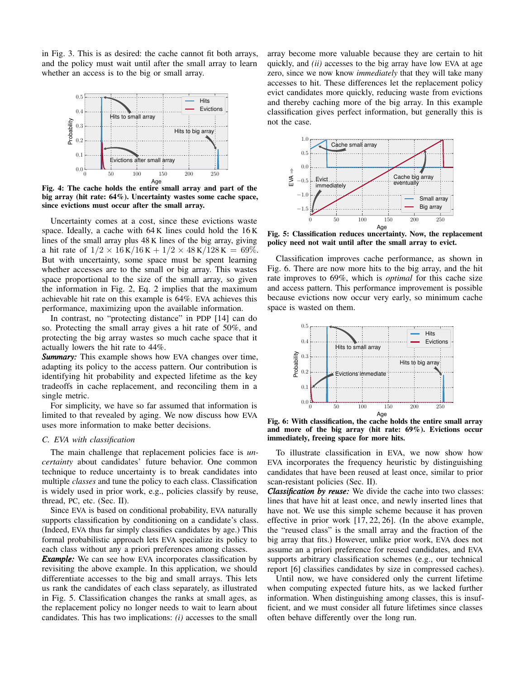in [Fig. 3.](#page-3-3) This is as desired: the cache cannot fit both arrays, and the policy must wait until after the small array to learn whether an access is to the big or small array.

<span id="page-4-0"></span>

Fig. 4: The cache holds the entire small array and part of the big array (hit rate: 64%). Uncertainty wastes some cache space, since evictions must occur after the small array.

Uncertainty comes at a cost, since these evictions waste space. Ideally, a cache with 64 K lines could hold the 16 K lines of the small array plus 48 K lines of the big array, giving a hit rate of  $1/2 \times 16$  K $/16$  K +  $1/2 \times 48$  K $/128$  K = 69%. But with uncertainty, some space must be spent learning whether accesses are to the small or big array. This wastes space proportional to the size of the small array, so given the information in [Fig. 2,](#page-3-2) [Eq. 2](#page-2-2) implies that the maximum achievable hit rate on this example is 64%. EVA achieves this performance, maximizing upon the available information.

In contrast, no "protecting distance" in PDP [\[14\]](#page-11-6) can do so. Protecting the small array gives a hit rate of 50%, and protecting the big array wastes so much cache space that it actually lowers the hit rate to 44%.

*Summary:* This example shows how EVA changes over time, adapting its policy to the access pattern. Our contribution is identifying hit probability and expected lifetime as the key tradeoffs in cache replacement, and reconciling them in a single metric.

For simplicity, we have so far assumed that information is limited to that revealed by aging. We now discuss how EVA uses more information to make better decisions.

# <span id="page-4-3"></span>*C. EVA with classification*

The main challenge that replacement policies face is *uncertainty* about candidates' future behavior. One common technique to reduce uncertainty is to break candidates into multiple *classes* and tune the policy to each class. Classification is widely used in prior work, e.g., policies classify by reuse, thread, PC, etc. [\(Sec. II\)](#page-0-0).

Since EVA is based on conditional probability, EVA naturally supports classification by conditioning on a candidate's class. (Indeed, EVA thus far simply classifies candidates by age.) This formal probabilistic approach lets EVA specialize its policy to each class without any a priori preferences among classes.

*Example:* We can see how EVA incorporates classification by revisiting the above example. In this application, we should differentiate accesses to the big and small arrays. This lets us rank the candidates of each class separately, as illustrated in [Fig. 5.](#page-4-1) Classification changes the ranks at small ages, as the replacement policy no longer needs to wait to learn about candidates. This has two implications: *(i)* accesses to the small array become more valuable because they are certain to hit quickly, and *(ii)* accesses to the big array have low EVA at age zero, since we now know *immediately* that they will take many accesses to hit. These differences let the replacement policy evict candidates more quickly, reducing waste from evictions and thereby caching more of the big array. In this example classification gives perfect information, but generally this is not the case.

<span id="page-4-1"></span>

Fig. 5: Classification reduces uncertainty. Now, the replacement policy need not wait until after the small array to evict.

Classification improves cache performance, as shown in [Fig. 6.](#page-4-2) There are now more hits to the big array, and the hit rate improves to 69%, which is *optimal* for this cache size and access pattern. This performance improvement is possible because evictions now occur very early, so minimum cache space is wasted on them.

<span id="page-4-2"></span>

Fig. 6: With classification, the cache holds the entire small array and more of the big array (hit rate: 69%). Evictions occur immediately, freeing space for more hits.

To illustrate classification in EVA, we now show how EVA incorporates the frequency heuristic by distinguishing candidates that have been reused at least once, similar to prior scan-resistant policies [\(Sec. II\)](#page-0-0).

*Classification by reuse:* We divide the cache into two classes: lines that have hit at least once, and newly inserted lines that have not. We use this simple scheme because it has proven effective in prior work [\[17,](#page-11-8) [22,](#page-11-25) [26\]](#page-11-23). (In the above example, the "reused class" is the small array and the fraction of the big array that fits.) However, unlike prior work, EVA does not assume an a priori preference for reused candidates, and EVA supports arbitrary classification schemes (e.g., our technical report [\[6\]](#page-11-26) classifies candidates by size in compressed caches).

Until now, we have considered only the current lifetime when computing expected future hits, as we lacked further information. When distinguishing among classes, this is insufficient, and we must consider all future lifetimes since classes often behave differently over the long run.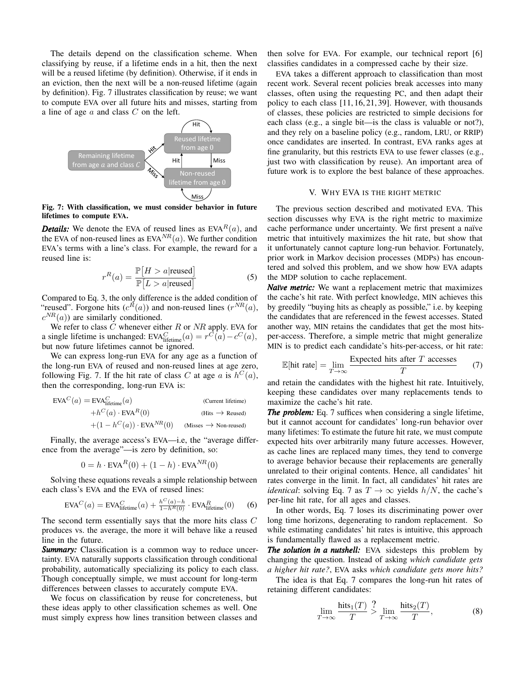The details depend on the classification scheme. When classifying by reuse, if a lifetime ends in a hit, then the next will be a reused lifetime (by definition). Otherwise, if it ends in an eviction, then the next will be a non-reused lifetime (again by definition). [Fig. 7](#page-5-1) illustrates classification by reuse; we want to compute EVA over all future hits and misses, starting from a line of age  $a$  and class  $C$  on the left.

<span id="page-5-1"></span>

Fig. 7: With classification, we must consider behavior in future lifetimes to compute EVA.

**Details:** We denote the EVA of reused lines as  $EVA<sup>R</sup>(a)$ , and the EVA of non-reused lines as  $EVA<sup>NR</sup>(a)$ . We further condition EVA's terms with a line's class. For example, the reward for a reused line is:

$$
r^{R}(a) = \frac{\mathbb{P}[H > a | \text{reused}]}{\mathbb{P}[L > a | \text{reused}]} \tag{5}
$$

Compared to [Eq. 3,](#page-3-0) the only difference is the added condition of "reused". Forgone hits  $(c^R(a))$  and non-reused lines  $(r^{NR}(a))$ ,  $c^{NR}(a)$ ) are similarly conditioned.

We refer to class  $C$  whenever either  $R$  or  $NR$  apply. EVA for a single lifetime is unchanged:  $EVA_{\text{lifetime}}^C(a) = r^C(a) - c^C(a)$ , but now future lifetimes cannot be ignored.

We can express long-run EVA for any age as a function of the long-run EVA of reused and non-reused lines at age zero, following [Fig. 7.](#page-5-1) If the hit rate of class C at age a is  $h^C(a)$ , then the corresponding, long-run EVA is:

$$
EVAC(a) = EVAClifetime(a)
$$
 (Current lifetime)  
+ $hC(a) \cdot EVAR(0)$  (Hits  $\rightarrow$  Reused)  
+ $(1 - hC(a)) \cdot EVANR(0)$  (Misses  $\rightarrow$  Non-reused)

Finally, the average access's EVA—i.e, the "average difference from the average"—is zero by definition, so:

$$
0 = h \cdot \text{EVA}^{R}(0) + (1 - h) \cdot \text{EVA}^{NR}(0)
$$

Solving these equations reveals a simple relationship between each class's EVA and the EVA of reused lines:

$$
\text{EVA}^C(a) = \text{EVA}_{\text{lifetime}}^C(a) + \frac{h^C(a) - h}{1 - h^R(0)} \cdot \text{EVA}_{\text{lifetime}}^R(0) \tag{6}
$$

The second term essentially says that the more hits class C produces vs. the average, the more it will behave like a reused line in the future.

*Summary:* Classification is a common way to reduce uncertainty. EVA naturally supports classification through conditional probability, automatically specializing its policy to each class. Though conceptually simple, we must account for long-term differences between classes to accurately compute EVA.

We focus on classification by reuse for concreteness, but these ideas apply to other classification schemes as well. One must simply express how lines transition between classes and

then solve for EVA. For example, our technical report [\[6\]](#page-11-26) classifies candidates in a compressed cache by their size.

EVA takes a different approach to classification than most recent work. Several recent policies break accesses into many classes, often using the requesting PC, and then adapt their policy to each class [\[11,](#page-11-5) [16,](#page-11-7) [21,](#page-11-11) [39\]](#page-11-14). However, with thousands of classes, these policies are restricted to simple decisions for each class (e.g., a single bit—is the class is valuable or not?), and they rely on a baseline policy (e.g., random, LRU, or RRIP) once candidates are inserted. In contrast, EVA ranks ages at fine granularity, but this restricts EVA to use fewer classes (e.g., just two with classification by reuse). An important area of future work is to explore the best balance of these approaches.

# V. WHY EVA IS THE RIGHT METRIC

<span id="page-5-0"></span>The previous section described and motivated EVA. This section discusses why EVA is the right metric to maximize cache performance under uncertainty. We first present a naïve metric that intuitively maximizes the hit rate, but show that it unfortunately cannot capture long-run behavior. Fortunately, prior work in Markov decision processes (MDPs) has encountered and solved this problem, and we show how EVA adapts the MDP solution to cache replacement.

*Naïve metric:* We want a replacement metric that maximizes the cache's hit rate. With perfect knowledge, MIN achieves this by greedily "buying hits as cheaply as possible," i.e. by keeping the candidates that are referenced in the fewest accesses. Stated another way, MIN retains the candidates that get the most hitsper-access. Therefore, a simple metric that might generalize MIN is to predict each candidate's hits-per-access, or hit rate:

<span id="page-5-2"></span>
$$
\mathbb{E}[\text{hit rate}] = \lim_{T \to \infty} \frac{\text{Expected hits after } T \text{ accesses}}{T} \tag{7}
$$

and retain the candidates with the highest hit rate. Intuitively, keeping these candidates over many replacements tends to maximize the cache's hit rate.

*The problem:* [Eq. 7](#page-5-2) suffices when considering a single lifetime, but it cannot account for candidates' long-run behavior over many lifetimes: To estimate the future hit rate, we must compute expected hits over arbitrarily many future accesses. However, as cache lines are replaced many times, they tend to converge to average behavior because their replacements are generally unrelated to their original contents. Hence, all candidates' hit rates converge in the limit. In fact, all candidates' hit rates are *identical*: solving [Eq. 7](#page-5-2) as  $T \to \infty$  yields  $h/N$ , the cache's per-line hit rate, for all ages and classes.

<span id="page-5-4"></span>In other words, [Eq. 7](#page-5-2) loses its discriminating power over long time horizons, degenerating to random replacement. So while estimating candidates' hit rates is intuitive, this approach is fundamentally flawed as a replacement metric.

*The solution in a nutshell:* EVA sidesteps this problem by changing the question. Instead of asking *which candidate gets a higher hit rate?*, EVA asks *which candidate gets more hits?*

The idea is that [Eq. 7](#page-5-2) compares the long-run hit rates of retaining different candidates:

<span id="page-5-3"></span>
$$
\lim_{T \to \infty} \frac{\text{hits}_1(T)}{T} > \lim_{T \to \infty} \frac{\text{hits}_2(T)}{T},\tag{8}
$$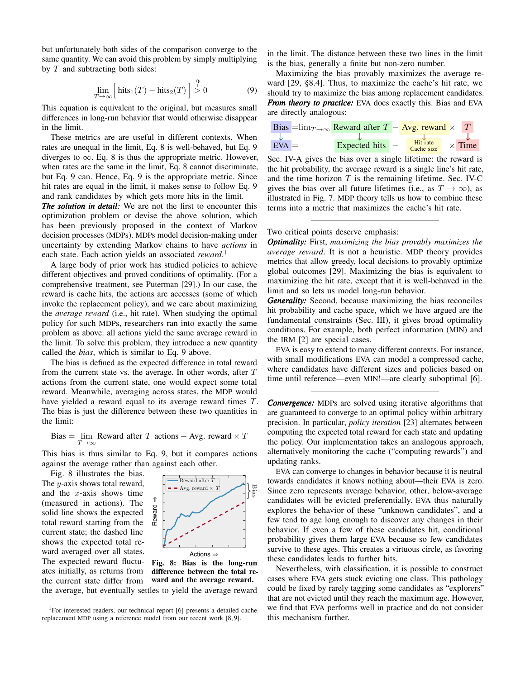but unfortunately both sides of the comparison converge to the same quantity. We can avoid this problem by simply multiplying by  $T$  and subtracting both sides:

$$
\lim_{T \to \infty} \left[ \text{hits}_1(T) - \text{hits}_2(T) \right] \stackrel{?}{>} 0 \tag{9}
$$

This equation is equivalent to the original, but measures small differences in long-run behavior that would otherwise disappear in the limit.

These metrics are are useful in different contexts. When rates are unequal in the limit, [Eq. 8](#page-5-3) is well-behaved, but [Eq. 9](#page-6-0) diverges to  $\infty$ . [Eq. 8](#page-5-3) is thus the appropriate metric. However, when rates are the same in the limit, [Eq. 8](#page-5-3) cannot discriminate, but [Eq. 9](#page-6-0) can. Hence, [Eq. 9](#page-6-0) is the appropriate metric. Since hit rates are equal in the limit, it makes sense to follow [Eq. 9](#page-6-0) and rank candidates by which gets more hits in the limit.

*The solution in detail:* We are not the first to encounter this optimization problem or devise the above solution, which has been previously proposed in the context of Markov decision processes (MDPs). MDPs model decision-making under uncertainty by extending Markov chains to have *actions* in each state. Each action yields an associated *reward*. [1](#page-6-1)

A large body of prior work has studied policies to achieve different objectives and proved conditions of optimality. (For a comprehensive treatment, see Puterman [\[29\]](#page-11-27).) In our case, the reward is cache hits, the actions are accesses (some of which invoke the replacement policy), and we care about maximizing the *average reward* (i.e., hit rate). When studying the optimal policy for such MDPs, researchers ran into exactly the same problem as above: all actions yield the same average reward in the limit. To solve this problem, they introduce a new quantity called the *bias*, which is similar to [Eq. 9](#page-6-0) above.

The bias is defined as the expected difference in total reward from the current state vs. the average. In other words, after  $T$ actions from the current state, one would expect some total reward. Meanwhile, averaging across states, the MDP would have yielded a reward equal to its average reward times T. The bias is just the difference between these two quantities in the limit:

Bias = 
$$
\lim_{T \to \infty}
$$
   
Reward after  $T$  actions  $-$    
Avg. reward  $\times$   $T$ 

This bias is thus similar to [Eq. 9,](#page-6-0) but it compares actions against the average rather than against each other.

[Fig. 8](#page-6-2) illustrates the bias. The  $y$ -axis shows total reward, and the  $x$ -axis shows time (measured in actions). The solid line shows the expected total reward starting from the current state; the dashed line shows the expected total reward averaged over all states. The expected reward fluctuates initially, as returns from the current state differ from

<span id="page-6-2"></span>

Fig. 8: Bias is the long-run difference between the total reward and the average reward. the average, but eventually settles to yield the average reward

<span id="page-6-1"></span><sup>1</sup>For interested readers, our technical report [\[6\]](#page-11-26) presents a detailed cache replacement MDP using a reference model from our recent work [\[8,](#page-11-28) [9\]](#page-11-17).

in the limit. The distance between these two lines in the limit is the bias, generally a finite but non-zero number.

<span id="page-6-0"></span>Maximizing the bias provably maximizes the average reward [\[29,](#page-11-27) §8.4]. Thus, to maximize the cache's hit rate, we should try to maximize the bias among replacement candidates. *From theory to practice:* EVA does exactly this. Bias and EVA are directly analogous:

Bias = 
$$
\lim_{T \to \infty} \frac{\text{Reward after } T - \text{Avg. reward} \times T}{\text{Expected hits}} \times \frac{T}{\text{Cache size}} \times \frac{1}{\text{Time}}
$$

\nExpected hits =  $\frac{\text{Hit rate}}{\text{Cache size}} \times \frac{1}{\text{Time}}$ 

Sec. [IV-A](#page-3-4) gives the bias over a single lifetime: the reward is the hit probability, the average reward is a single line's hit rate, and the time horizon  $T$  is the remaining lifetime. Sec. [IV-C](#page-4-3) gives the bias over all future lifetimes (i.e., as  $T \to \infty$ ), as illustrated in [Fig. 7.](#page-5-1) MDP theory tells us how to combine these terms into a metric that maximizes the cache's hit rate.

Two critical points deserve emphasis:

*Optimality:* First, *maximizing the bias provably maximizes the average reward*. It is not a heuristic. MDP theory provides metrics that allow greedy, local decisions to provably optimize global outcomes [\[29\]](#page-11-27). Maximizing the bias is equivalent to maximizing the hit rate, except that it is well-behaved in the limit and so lets us model long-run behavior.

*Generality:* Second, because maximizing the bias reconciles hit probability and cache space, which we have argued are the fundamental constraints [\(Sec. III\)](#page-1-0), it gives broad optimality conditions. For example, both perfect information (MIN) and the IRM [\[2\]](#page-11-3) are special cases.

EVA is easy to extend to many different contexts. For instance, with small modifications EVA can model a compressed cache, where candidates have different sizes and policies based on time until reference—even MIN!—are clearly suboptimal [\[6\]](#page-11-26).

*Convergence:* MDPs are solved using iterative algorithms that are guaranteed to converge to an optimal policy within arbitrary precision. In particular, *policy iteration* [\[23\]](#page-11-29) alternates between computing the expected total reward for each state and updating the policy. Our implementation takes an analogous approach, alternatively monitoring the cache ("computing rewards") and updating ranks.

EVA can converge to changes in behavior because it is neutral towards candidates it knows nothing about—their EVA is zero. Since zero represents average behavior, other, below-average candidates will be evicted preferentially. EVA thus naturally explores the behavior of these "unknown candidates", and a few tend to age long enough to discover any changes in their behavior. If even a few of these candidates hit, conditional probability gives them large EVA because so few candidates survive to these ages. This creates a virtuous circle, as favoring these candidates leads to further hits.

Nevertheless, with classification, it is possible to construct cases where EVA gets stuck evicting one class. This pathology could be fixed by rarely tagging some candidates as "explorers" that are not evicted until they reach the maximum age. However, we find that EVA performs well in practice and do not consider this mechanism further.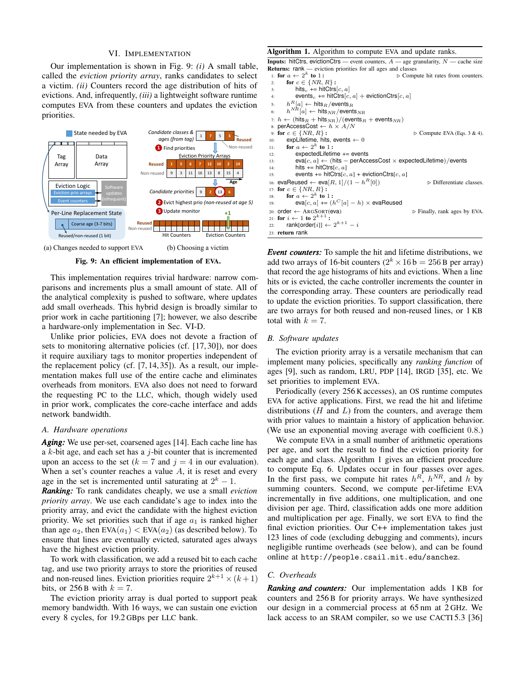#### VI. IMPLEMENTATION

<span id="page-7-0"></span>Our implementation is shown in [Fig. 9:](#page-7-1) *(i)* A small table, called the *eviction priority array*, ranks candidates to select a victim. *(ii)* Counters record the age distribution of hits of evictions. And, infrequently, *(iii)* a lightweight software runtime computes EVA from these counters and updates the eviction priorities.

<span id="page-7-1"></span>

Fig. 9: An efficient implementation of EVA.

This implementation requires trivial hardware: narrow comparisons and increments plus a small amount of state. All of the analytical complexity is pushed to software, where updates add small overheads. This hybrid design is broadly similar to prior work in cache partitioning [\[7\]](#page-11-30); however, we also describe a hardware-only implementation in [Sec. VI-D.](#page-8-1)

Unlike prior policies, EVA does not devote a fraction of sets to monitoring alternative policies (cf. [\[17,](#page-11-8) [30\]](#page-11-12)), nor does it require auxiliary tags to monitor properties independent of the replacement policy (cf. [\[7,](#page-11-30) [14,](#page-11-6) [35\]](#page-11-13)). As a result, our implementation makes full use of the entire cache and eliminates overheads from monitors. EVA also does not need to forward the requesting PC to the LLC, which, though widely used in prior work, complicates the core-cache interface and adds network bandwidth.

#### *A. Hardware operations*

*Aging:* We use per-set, coarsened ages [\[14\]](#page-11-6). Each cache line has a  $k$ -bit age, and each set has a  $j$ -bit counter that is incremented upon an access to the set  $(k = 7$  and  $j = 4$  in our evaluation). When a set's counter reaches a value  $A$ , it is reset and every age in the set is incremented until saturating at  $2^k - 1$ .

*Ranking:* To rank candidates cheaply, we use a small *eviction priority array*. We use each candidate's age to index into the priority array, and evict the candidate with the highest eviction priority. We set priorities such that if age  $a_1$  is ranked higher than age  $a_2$ , then EVA $(a_1)$  < EVA $(a_2)$  (as described below). To ensure that lines are eventually evicted, saturated ages always have the highest eviction priority.

To work with classification, we add a reused bit to each cache tag, and use two priority arrays to store the priorities of reused and non-reused lines. Eviction priorities require  $2^{k+1} \times (k+1)$ bits, or  $256B$  with  $k = 7$ .

The eviction priority array is dual ported to support peak memory bandwidth. With 16 ways, we can sustain one eviction every 8 cycles, for 19.2 GBps per LLC bank.

#### <span id="page-7-2"></span>Algorithm 1. Algorithm to compute EVA and update ranks.

**Inputs:** hitCtrs, evictionCtrs — event counters,  $A$  — age granularity,  $N$  — cache size **Returns:** rank — eviction priorities for all ages and classes<br>
∴ for  $a \leftarrow 2^k$  to 1:<br>
⊳ Compute hit rates from counters. 2: for  $c \in \{NR, R\}$  :  $3:$  hits<sub>c</sub> += hitCtrs[c, a] 4: events<sub>c</sub> += hitCtrs $[c, a]$  + evictionCtrs $[c, a]$ 5:  $h^R[a] \leftarrow$  hits  $_R$ /events  $_R$ 6:  $h^{NR}[a] \leftarrow \text{hits}_{NR}/\text{events}_{NR}$ 7:  $h \leftarrow (hits_R + hits_{NR})/(events_R + events_{NR})$ 8: perAccessCost  $\leftarrow h \times A/N$ <br>9: for  $c \in \{NR, R\}$ : 9: for  $c \in \{NR, R\}$ :  $\Rightarrow$  Compute EVA (Eqs. [3](#page-3-0) & [4\)](#page-3-1).<br>10: explifetime. hits. events  $\leftarrow 0$ expLifetime, hits, events  $\leftarrow 0$ 11: for  $a \leftarrow 2^k$  to 1: 12: expectedLifetime += events 13:  $eval[c, a] \leftarrow (hits - perAccessCost \times expectedLittle time) / events$ 14: hits  $+= \text{hitCtrs}[c, a]$ 15: events  $+=$  hitCtrs $[c, a]$  + evictionCtrs $[c, a]$ 16: evaReused ← eva[ $R$ , 1]/(1 –  $h^R[0]$ ) ⊳ Differentiate classes 17: for  $c \in \{NR, R\}$ : 18: for  $a \leftarrow 2^k$  to 1: 19: eva $[c, a]$  +=  $(h^C[a] - h) \times$  evaReused 20: order ← ARGSORT(eva)  $\triangleright$  Finally, rank ages by EVA. 21: for  $i \leftarrow 1$  to  $2^{k+1}$ : 22:  $rank[order[i]] \leftarrow 2^{k+1} - i$ 23: return rank

*Event counters:* To sample the hit and lifetime distributions, we add two arrays of 16-bit counters ( $2^k \times 16$  b = 256 B per array) that record the age histograms of hits and evictions. When a line hits or is evicted, the cache controller increments the counter in the corresponding array. These counters are periodically read to update the eviction priorities. To support classification, there are two arrays for both reused and non-reused lines, or 1 KB total with  $k = 7$ .

#### *B. Software updates*

The eviction priority array is a versatile mechanism that can implement many policies, specifically any *ranking function* of ages [\[9\]](#page-11-17), such as random, LRU, PDP [\[14\]](#page-11-6), IRGD [\[35\]](#page-11-13), etc. We set priorities to implement EVA.

Periodically (every 256 K accesses), an OS runtime computes EVA for active applications. First, we read the hit and lifetime distributions  $(H \text{ and } L)$  from the counters, and average them with prior values to maintain a history of application behavior. (We use an exponential moving average with coefficient 0.8.)

We compute EVA in a small number of arithmetic operations per age, and sort the result to find the eviction priority for each age and class. [Algorithm 1](#page-7-2) gives an efficient procedure to compute [Eq. 6.](#page-5-4) Updates occur in four passes over ages. In the first pass, we compute hit rates  $h^R$ ,  $h^{NR}$ , and h by summing counters. Second, we compute per-lifetime EVA incrementally in five additions, one multiplication, and one division per age. Third, classification adds one more addition and multiplication per age. Finally, we sort EVA to find the final eviction priorities. Our C++ implementation takes just 123 lines of code (excluding debugging and comments), incurs negligible runtime overheads (see below), and can be found online at http://people.csail.mit.edu/sanchez.

# <span id="page-7-3"></span>*C. Overheads*

*Ranking and counters:* Our implementation adds 1 KB for counters and 256 B for priority arrays. We have synthesized our design in a commercial process at 65 nm at 2 GHz. We lack access to an SRAM compiler, so we use CACTI 5.3 [\[36\]](#page-11-31)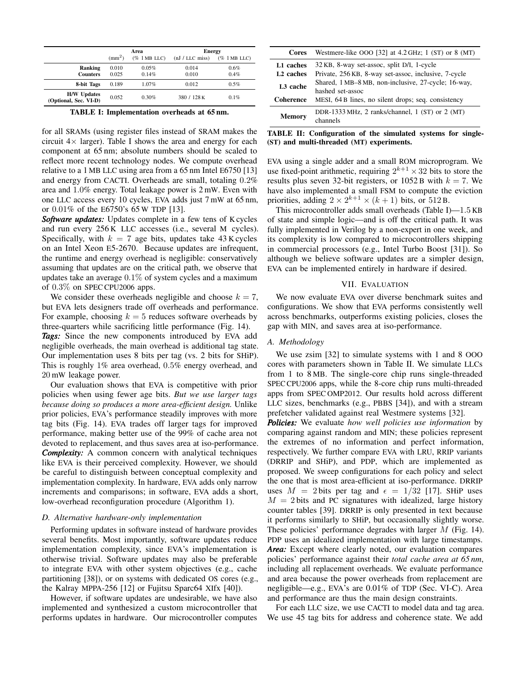<span id="page-8-2"></span>

|                                             |                 | Area            | <b>Energy</b>     |                 |  |
|---------------------------------------------|-----------------|-----------------|-------------------|-----------------|--|
|                                             | $\text{mm}^2$ ) | $(\%$ 1 MB LLC) | $(nJ / LLC$ miss) | $(\%$ 1 MB LLC) |  |
| <b>Ranking</b>                              | 0.010           | 0.05%           | 0.014             | 0.6%            |  |
| <b>Counters</b>                             | 0.025           | 0.14%           | 0.010             | 0.4%            |  |
| 8-bit Tags                                  | 0.189           | 1.07%           | 0.012             | 0.5%            |  |
| <b>H/W Updates</b><br>(Optional, Sec. VI-D) | 0.052           | 0.30%           | 380 / 128 K       | 0.1%            |  |

TABLE I: Implementation overheads at 65 nm.

for all SRAMs (using register files instead of SRAM makes the circuit  $4 \times$  larger). [Table I](#page-8-2) shows the area and energy for each component at 65 nm; absolute numbers should be scaled to reflect more recent technology nodes. We compute overhead relative to a 1 MB LLC using area from a 65 nm Intel E6750 [\[13\]](#page-11-32) and energy from CACTI. Overheads are small, totaling 0.2% area and 1.0% energy. Total leakage power is 2 mW. Even with one LLC access every 10 cycles, EVA adds just 7 mW at 65 nm, or 0.01% of the E6750's 65 W TDP [\[13\]](#page-11-32).

*Software updates:* Updates complete in a few tens of K cycles and run every 256 K LLC accesses (i.e., several M cycles). Specifically, with  $k = 7$  age bits, updates take 43 K cycles on an Intel Xeon E5-2670. Because updates are infrequent, the runtime and energy overhead is negligible: conservatively assuming that updates are on the critical path, we observe that updates take an average  $0.1\%$  of system cycles and a maximum of 0.3% on SPEC CPU2006 apps.

We consider these overheads negligible and choose  $k = 7$ , but EVA lets designers trade off overheads and performance. For example, choosing  $k = 5$  reduces software overheads by three-quarters while sacrificing little performance [\(Fig. 14\)](#page-10-0).

*Tags:* Since the new components introduced by EVA add negligible overheads, the main overhead is additional tag state. Our implementation uses 8 bits per tag (vs. 2 bits for SHiP). This is roughly 1% area overhead, 0.5% energy overhead, and 20 mW leakage power.

Our evaluation shows that EVA is competitive with prior policies when using fewer age bits. *But we use larger tags because doing so produces a more area-efficient design.* Unlike prior policies, EVA's performance steadily improves with more tag bits [\(Fig. 14\)](#page-10-0). EVA trades off larger tags for improved performance, making better use of the 99% of cache area not devoted to replacement, and thus saves area at iso-performance. *Complexity:* A common concern with analytical techniques like EVA is their perceived complexity. However, we should be careful to distinguish between conceptual complexity and implementation complexity. In hardware, EVA adds only narrow increments and comparisons; in software, EVA adds a short, low-overhead reconfiguration procedure [\(Algorithm 1\)](#page-7-2).

## <span id="page-8-1"></span>*D. Alternative hardware-only implementation*

Performing updates in software instead of hardware provides several benefits. Most importantly, software updates reduce implementation complexity, since EVA's implementation is otherwise trivial. Software updates may also be preferable to integrate EVA with other system objectives (e.g., cache partitioning [\[38\]](#page-11-33)), or on systems with dedicated OS cores (e.g., the Kalray MPPA-256 [\[12\]](#page-11-34) or Fujitsu Sparc64 XIfx [\[40\]](#page-11-35)).

However, if software updates are undesirable, we have also implemented and synthesized a custom microcontroller that performs updates in hardware. Our microcontroller computes

<span id="page-8-3"></span>

| Cores                 | Westmere-like OOO [32] at $4.2 \text{ GHz}$ ; 1 (ST) or 8 (MT) |  |  |  |
|-----------------------|----------------------------------------------------------------|--|--|--|
| L1 caches             | 32 KB, 8-way set-assoc, split D/I, 1-cycle                     |  |  |  |
| L <sub>2</sub> caches | Private, 256 KB, 8-way set-assoc, inclusive, 7-cycle           |  |  |  |
| L <sub>3</sub> cache  | Shared, 1 MB-8 MB, non-inclusive, 27-cycle; 16-way,            |  |  |  |
|                       | hashed set-assoc                                               |  |  |  |
| <b>Coherence</b>      | MESI, 64 B lines, no silent drops; seq. consistency            |  |  |  |
|                       | DDR-1333 MHz, 2 ranks/channel, $1$ (ST) or $2$ (MT)            |  |  |  |
| <b>Memory</b>         | channels                                                       |  |  |  |

TABLE II: Configuration of the simulated systems for single- (ST) and multi-threaded (MT) experiments.

EVA using a single adder and a small ROM microprogram. We use fixed-point arithmetic, requiring  $2^{k+1} \times 32$  bits to store the results plus seven 32-bit registers, or 1052 B with  $k = 7$ . We have also implemented a small FSM to compute the eviction priorities, adding  $2 \times 2^{k+1} \times (k+1)$  bits, or 512 B.

This microcontroller adds small overheads [\(Table I\)](#page-8-2)—1.5 KB of state and simple logic—and is off the critical path. It was fully implemented in Verilog by a non-expert in one week, and its complexity is low compared to microcontrollers shipping in commercial processors (e.g., Intel Turbo Boost [\[31\]](#page-11-37)). So although we believe software updates are a simpler design, EVA can be implemented entirely in hardware if desired.

# VII. EVALUATION

<span id="page-8-0"></span>We now evaluate EVA over diverse benchmark suites and configurations. We show that EVA performs consistently well across benchmarks, outperforms existing policies, closes the gap with MIN, and saves area at iso-performance.

#### *A. Methodology*

We use zsim [\[32\]](#page-11-36) to simulate systems with 1 and 8 OOO cores with parameters shown in [Table II.](#page-8-3) We simulate LLCs from 1 to 8 MB. The single-core chip runs single-threaded SPEC CPU2006 apps, while the 8-core chip runs multi-threaded apps from SPEC OMP2012. Our results hold across different LLC sizes, benchmarks (e.g., PBBS [\[34\]](#page-11-38)), and with a stream prefetcher validated against real Westmere systems [\[32\]](#page-11-36).

*Policies:* We evaluate *how well policies use information* by comparing against random and MIN; these policies represent the extremes of no information and perfect information, respectively. We further compare EVA with LRU, RRIP variants (DRRIP and SHiP), and PDP, which are implemented as proposed. We sweep configurations for each policy and select the one that is most area-efficient at iso-performance. DRRIP uses  $M = 2$  bits per tag and  $\epsilon = 1/32$  [\[17\]](#page-11-8). SHiP uses  $M = 2$  bits and PC signatures with idealized, large history counter tables [\[39\]](#page-11-14). DRRIP is only presented in text because it performs similarly to SHiP, but occasionally slightly worse. These policies' performance degrades with larger M [\(Fig. 14\)](#page-10-0). PDP uses an idealized implementation with large timestamps. *Area:* Except where clearly noted, our evaluation compares policies' performance against their *total cache area at 65 nm*, including all replacement overheads. We evaluate performance and area because the power overheads from replacement are negligible—e.g., EVA's are 0.01% of TDP (Sec. [VI-C\)](#page-7-3). Area and performance are thus the main design constraints.

For each LLC size, we use CACTI to model data and tag area. We use 45 tag bits for address and coherence state. We add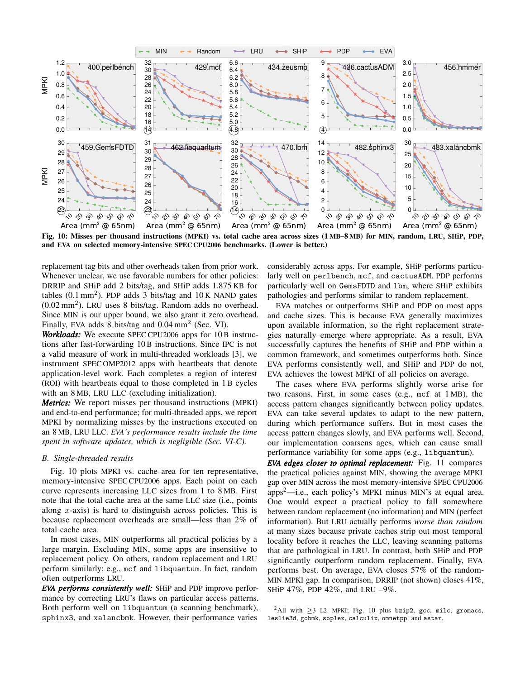<span id="page-9-0"></span>

Fig. 10: Misses per thousand instructions (MPKI) vs. total cache area across sizes (1 MB–8 MB) for MIN, random, LRU, SHiP, PDP, and EVA on selected memory-intensive SPEC CPU2006 benchmarks. (Lower is better.)

replacement tag bits and other overheads taken from prior work. Whenever unclear, we use favorable numbers for other policies: DRRIP and SHiP add 2 bits/tag, and SHiP adds 1.875 KB for tables  $(0.1 \text{ mm}^2)$ . PDP adds 3 bits/tag and  $10 \text{ K}$  NAND gates  $(0.02 \text{ mm}^2)$ . LRU uses 8 bits/tag. Random adds no overhead. Since MIN is our upper bound, we also grant it zero overhead. Finally, EVA adds 8 bits/tag and  $0.04 \text{ mm}^2$  [\(Sec. VI\)](#page-7-0).

*Workloads:* We execute SPEC CPU2006 apps for 10 B instructions after fast-forwarding 10 B instructions. Since IPC is not a valid measure of work in multi-threaded workloads [\[3\]](#page-11-39), we instrument SPEC OMP2012 apps with heartbeats that denote application-level work. Each completes a region of interest (ROI) with heartbeats equal to those completed in 1 B cycles with an 8 MB, LRU LLC (excluding initialization).

*Metrics:* We report misses per thousand instructions (MPKI) and end-to-end performance; for multi-threaded apps, we report MPKI by normalizing misses by the instructions executed on an 8 MB, LRU LLC. *EVA's performance results include the time spent in software updates, which is negligible [\(Sec. VI-C\)](#page-7-3).*

## *B. Single-threaded results*

[Fig. 10](#page-9-0) plots MPKI vs. cache area for ten representative, memory-intensive SPEC CPU2006 apps. Each point on each curve represents increasing LLC sizes from 1 to 8 MB. First note that the total cache area at the same LLC size (i.e., points along  $x$ -axis) is hard to distinguish across policies. This is because replacement overheads are small—less than 2% of total cache area.

In most cases, MIN outperforms all practical policies by a large margin. Excluding MIN, some apps are insensitive to replacement policy. On others, random replacement and LRU perform similarly; e.g., mcf and libquantum. In fact, random often outperforms LRU.

*EVA performs consistently well:* SHiP and PDP improve performance by correcting LRU's flaws on particular access patterns. Both perform well on libquantum (a scanning benchmark), sphinx3, and xalancbmk. However, their performance varies

considerably across apps. For example, SHiP performs particularly well on perlbench, mcf, and cactusADM. PDP performs particularly well on GemsFDTD and lbm, where SHiP exhibits pathologies and performs similar to random replacement.

EVA matches or outperforms SHiP and PDP on most apps and cache sizes. This is because EVA generally maximizes upon available information, so the right replacement strategies naturally emerge where appropriate. As a result, EVA successfully captures the benefits of SHiP and PDP within a common framework, and sometimes outperforms both. Since EVA performs consistently well, and SHiP and PDP do not, EVA achieves the lowest MPKI of all policies on average.

The cases where EVA performs slightly worse arise for two reasons. First, in some cases (e.g., mcf at 1 MB), the access pattern changes significantly between policy updates. EVA can take several updates to adapt to the new pattern, during which performance suffers. But in most cases the access pattern changes slowly, and EVA performs well. Second, our implementation coarsens ages, which can cause small performance variability for some apps (e.g., libquantum).

*EVA edges closer to optimal replacement:* [Fig. 11](#page-10-1) compares the practical policies against MIN, showing the average MPKI gap over MIN across the most memory-intensive SPEC CPU2006 apps[2](#page-9-1)—i.e., each policy's MPKI minus MIN's at equal area. One would expect a practical policy to fall somewhere between random replacement (no information) and MIN (perfect information). But LRU actually performs *worse than random* at many sizes because private caches strip out most temporal locality before it reaches the LLC, leaving scanning patterns that are pathological in LRU. In contrast, both SHiP and PDP significantly outperform random replacement. Finally, EVA performs best. On average, EVA closes 57% of the random-MIN MPKI gap. In comparison, DRRIP (not shown) closes 41%, SHiP 47%, PDP 42%, and LRU –9%.

<span id="page-9-1"></span><sup>2</sup>All with  $\geq$ 3 L2 MPKI; [Fig. 10](#page-9-0) plus bzip2, gcc, milc, gromacs, leslie3d, gobmk, soplex, calculix, omnetpp, and astar.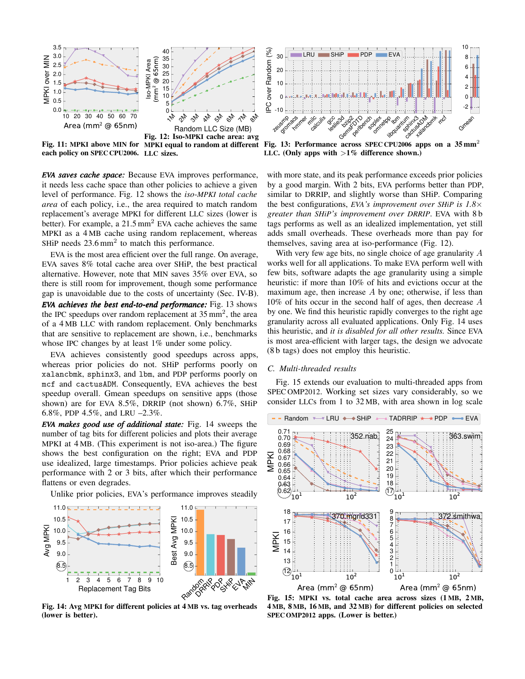<span id="page-10-1"></span>

Fig. 11: MPKI above MIN for MPKI equal to random at different each policy on SPEC CPU2006. LLC sizes.

*EVA saves cache space:* Because EVA improves performance, it needs less cache space than other policies to achieve a given level of performance. [Fig. 12](#page-10-1) shows the *iso-MPKI total cache area* of each policy, i.e., the area required to match random replacement's average MPKI for different LLC sizes (lower is better). For example, a  $21.5 \text{ mm}^2$  EVA cache achieves the same MPKI as a 4 MB cache using random replacement, whereas SHiP needs  $23.6 \text{ mm}^2$  to match this performance.

EVA is the most area efficient over the full range. On average, EVA saves 8% total cache area over SHiP, the best practical alternative. However, note that MIN saves 35% over EVA, so there is still room for improvement, though some performance gap is unavoidable due to the costs of uncertainty (Sec. [IV-B\)](#page-3-5). *EVA achieves the best end-to-end performance:* [Fig. 13](#page-10-1) shows the IPC speedups over random replacement at  $35 \text{ mm}^2$ , the area of a 4 MB LLC with random replacement. Only benchmarks that are sensitive to replacement are shown, i.e., benchmarks

EVA achieves consistently good speedups across apps, whereas prior policies do not. SHiP performs poorly on xalancbmk, sphinx3, and lbm, and PDP performs poorly on mcf and cactusADM. Consequently, EVA achieves the best speedup overall. Gmean speedups on sensitive apps (those shown) are for EVA 8.5%, DRRIP (not shown) 6.7%, SHiP 6.8%, PDP 4.5%, and LRU –2.3%.

whose IPC changes by at least 1% under some policy.

*EVA makes good use of additional state:* [Fig. 14](#page-10-0) sweeps the number of tag bits for different policies and plots their average MPKI at 4 MB. (This experiment is not iso-area.) The figure shows the best configuration on the right; EVA and PDP use idealized, large timestamps. Prior policies achieve peak performance with 2 or 3 bits, after which their performance flattens or even degrades.

Unlike prior policies, EVA's performance improves steadily

<span id="page-10-0"></span>

Fig. 14: Avg MPKI for different policies at 4 MB vs. tag overheads (lower is better).



LLC. (Only apps with  $>1\%$  difference shown.)

with more state, and its peak performance exceeds prior policies by a good margin. With 2 bits, EVA performs better than PDP, similar to DRRIP, and slightly worse than SHiP. Comparing the best configurations, *EVA's improvement over SHiP is 1.8*× *greater than SHiP's improvement over DRRIP*. EVA with 8 b tags performs as well as an idealized implementation, yet still adds small overheads. These overheads more than pay for themselves, saving area at iso-performance [\(Fig. 12\)](#page-10-1).

With very few age bits, no single choice of age granularity A works well for all applications. To make EVA perform well with few bits, software adapts the age granularity using a simple heuristic: if more than 10% of hits and evictions occur at the maximum age, then increase  $A$  by one; otherwise, if less than 10% of hits occur in the second half of ages, then decrease A by one. We find this heuristic rapidly converges to the right age granularity across all evaluated applications. Only [Fig. 14](#page-10-0) uses this heuristic, and *it is disabled for all other results.* Since EVA is most area-efficient with larger tags, the design we advocate (8 b tags) does not employ this heuristic.

## *C. Multi-threaded results*

[Fig. 15](#page-10-2) extends our evaluation to multi-threaded apps from SPEC OMP2012. Working set sizes vary considerably, so we consider LLCs from 1 to 32 MB, with area shown in log scale

<span id="page-10-2"></span>

Fig. 15: MPKI vs. total cache area across sizes (1 MB, 2 MB, 4 MB, 8 MB, 16 MB, and 32 MB) for different policies on selected SPEC OMP2012 apps. (Lower is better.)